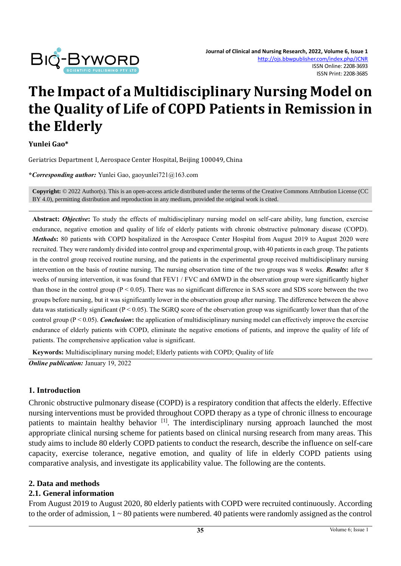

# **The Impact of a Multidisciplinary Nursing Model on the Quality of Life of COPD Patients in Remission in the Elderly**

**Yunlei Gao\***

Geriatrics Department Ⅰ, Aerospace Center Hospital, Beijing 100049, China

**\****Corresponding author:* Yunlei Gao, gaoyunlei721@163.com

**Copyright:** © 2022 Author(s). This is an open-access article distributed under the terms of th[e Creative Commons Attribution License \(CC](https://creativecommons.org/licenses/by/4.0/)  [BY 4.0\),](https://creativecommons.org/licenses/by/4.0/) permitting distribution and reproduction in any medium, provided the original work is cited.

**Abstract:** *Objective***:** To study the effects of multidisciplinary nursing model on self-care ability, lung function, exercise endurance, negative emotion and quality of life of elderly patients with chronic obstructive pulmonary disease (COPD). *Methods***:** 80 patients with COPD hospitalized in the Aerospace Center Hospital from August 2019 to August 2020 were recruited. They were randomly divided into control group and experimental group, with 40 patients in each group. The patients in the control group received routine nursing, and the patients in the experimental group received multidisciplinary nursing intervention on the basis of routine nursing. The nursing observation time of the two groups was 8 weeks. *Results***:** after 8 weeks of nursing intervention, it was found that FEV1 / FVC and 6MWD in the observation group were significantly higher than those in the control group ( $P < 0.05$ ). There was no significant difference in SAS score and SDS score between the two groups before nursing, but it was significantly lower in the observation group after nursing. The difference between the above data was statistically significant ( $P < 0.05$ ). The SGRQ score of the observation group was significantly lower than that of the control group (P < 0.05). *Conclusion***:** the application of multidisciplinary nursing model can effectively improve the exercise endurance of elderly patients with COPD, eliminate the negative emotions of patients, and improve the quality of life of patients. The comprehensive application value is significant.

**Keywords:** Multidisciplinary nursing model; Elderly patients with COPD; Quality of life

*Online publication:* January 19, 2022

#### **1. Introduction**

Chronic obstructive pulmonary disease (COPD) is a respiratory condition that affects the elderly. Effective nursing interventions must be provided throughout COPD therapy as a type of chronic illness to encourage patients to maintain healthy behavior [1]. The interdisciplinary nursing approach launched the most appropriate clinical nursing scheme for patients based on clinical nursing research from many areas. This study aims to include 80 elderly COPD patients to conduct the research, describe the influence on self-care capacity, exercise tolerance, negative emotion, and quality of life in elderly COPD patients using comparative analysis, and investigate its applicability value. The following are the contents.

#### **2. Data and methods**

#### **2.1. General information**

From August 2019 to August 2020, 80 elderly patients with COPD were recruited continuously. According to the order of admission, 1 ~ 80 patients were numbered. 40 patients were randomly assigned as the control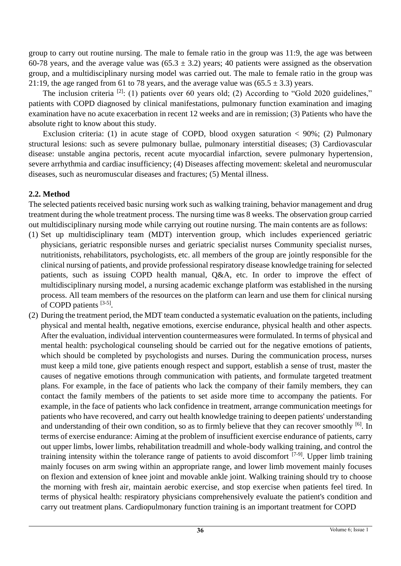group to carry out routine nursing. The male to female ratio in the group was 11:9, the age was between 60-78 years, and the average value was (65.3  $\pm$  3.2) years; 40 patients were assigned as the observation group, and a multidisciplinary nursing model was carried out. The male to female ratio in the group was 21:19, the age ranged from 61 to 78 years, and the average value was  $(65.5 \pm 3.3)$  years.

The inclusion criteria  $^{[2]}$ : (1) patients over 60 years old; (2) According to "Gold 2020 guidelines," patients with COPD diagnosed by clinical manifestations, pulmonary function examination and imaging examination have no acute exacerbation in recent 12 weeks and are in remission; (3) Patients who have the absolute right to know about this study.

Exclusion criteria: (1) in acute stage of COPD, blood oxygen saturation  $< 90\%$ ; (2) Pulmonary structural lesions: such as severe pulmonary bullae, pulmonary interstitial diseases; (3) Cardiovascular disease: unstable angina pectoris, recent acute myocardial infarction, severe pulmonary hypertension, severe arrhythmia and cardiac insufficiency; (4) Diseases affecting movement: skeletal and neuromuscular diseases, such as neuromuscular diseases and fractures; (5) Mental illness.

## **2.2. Method**

The selected patients received basic nursing work such as walking training, behavior management and drug treatment during the whole treatment process. The nursing time was 8 weeks. The observation group carried out multidisciplinary nursing mode while carrying out routine nursing. The main contents are as follows:

- (1) Set up multidisciplinary team (MDT) intervention group, which includes experienced geriatric physicians, geriatric responsible nurses and geriatric specialist nurses Community specialist nurses, nutritionists, rehabilitators, psychologists, etc. all members of the group are jointly responsible for the clinical nursing of patients, and provide professional respiratory disease knowledge training for selected patients, such as issuing COPD health manual, Q&A, etc. In order to improve the effect of multidisciplinary nursing model, a nursing academic exchange platform was established in the nursing process. All team members of the resources on the platform can learn and use them for clinical nursing of COPD patients [3-5].
- (2) During the treatment period, the MDT team conducted a systematic evaluation on the patients, including physical and mental health, negative emotions, exercise endurance, physical health and other aspects. After the evaluation, individual intervention countermeasures were formulated. In terms of physical and mental health: psychological counseling should be carried out for the negative emotions of patients, which should be completed by psychologists and nurses. During the communication process, nurses must keep a mild tone, give patients enough respect and support, establish a sense of trust, master the causes of negative emotions through communication with patients, and formulate targeted treatment plans. For example, in the face of patients who lack the company of their family members, they can contact the family members of the patients to set aside more time to accompany the patients. For example, in the face of patients who lack confidence in treatment, arrange communication meetings for patients who have recovered, and carry out health knowledge training to deepen patients' understanding and understanding of their own condition, so as to firmly believe that they can recover smoothly <sup>[6]</sup>. In terms of exercise endurance: Aiming at the problem of insufficient exercise endurance of patients, carry out upper limbs, lower limbs, rehabilitation treadmill and whole-body walking training, and control the training intensity within the tolerance range of patients to avoid discomfort  $[7-9]$ . Upper limb training mainly focuses on arm swing within an appropriate range, and lower limb movement mainly focuses on flexion and extension of knee joint and movable ankle joint. Walking training should try to choose the morning with fresh air, maintain aerobic exercise, and stop exercise when patients feel tired. In terms of physical health: respiratory physicians comprehensively evaluate the patient's condition and carry out treatment plans. Cardiopulmonary function training is an important treatment for COPD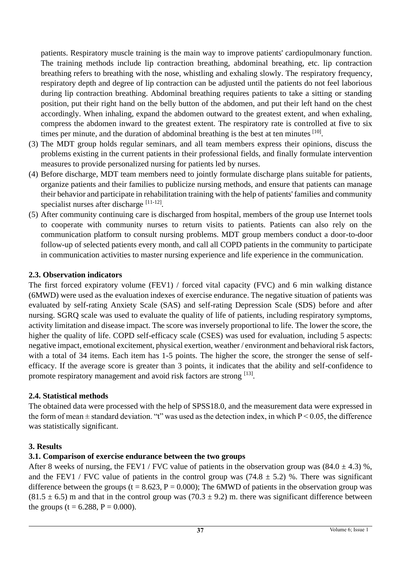patients. Respiratory muscle training is the main way to improve patients' cardiopulmonary function. The training methods include lip contraction breathing, abdominal breathing, etc. lip contraction breathing refers to breathing with the nose, whistling and exhaling slowly. The respiratory frequency, respiratory depth and degree of lip contraction can be adjusted until the patients do not feel laborious during lip contraction breathing. Abdominal breathing requires patients to take a sitting or standing position, put their right hand on the belly button of the abdomen, and put their left hand on the chest accordingly. When inhaling, expand the abdomen outward to the greatest extent, and when exhaling, compress the abdomen inward to the greatest extent. The respiratory rate is controlled at five to six times per minute, and the duration of abdominal breathing is the best at ten minutes [10].

- (3) The MDT group holds regular seminars, and all team members express their opinions, discuss the problems existing in the current patients in their professional fields, and finally formulate intervention measures to provide personalized nursing for patients led by nurses.
- (4) Before discharge, MDT team members need to jointly formulate discharge plans suitable for patients, organize patients and their families to publicize nursing methods, and ensure that patients can manage their behavior and participate in rehabilitation training with the help of patients' families and community specialist nurses after discharge [11-12].
- (5) After community continuing care is discharged from hospital, members of the group use Internet tools to cooperate with community nurses to return visits to patients. Patients can also rely on the communication platform to consult nursing problems. MDT group members conduct a door-to-door follow-up of selected patients every month, and call all COPD patients in the community to participate in communication activities to master nursing experience and life experience in the communication.

## **2.3. Observation indicators**

The first forced expiratory volume (FEV1) / forced vital capacity (FVC) and 6 min walking distance (6MWD) were used as the evaluation indexes of exercise endurance. The negative situation of patients was evaluated by self-rating Anxiety Scale (SAS) and self-rating Depression Scale (SDS) before and after nursing. SGRQ scale was used to evaluate the quality of life of patients, including respiratory symptoms, activity limitation and disease impact. The score was inversely proportional to life. The lower the score, the higher the quality of life. COPD self-efficacy scale (CSES) was used for evaluation, including 5 aspects: negative impact, emotional excitement, physical exertion, weather / environment and behavioral risk factors, with a total of 34 items. Each item has 1-5 points. The higher the score, the stronger the sense of selfefficacy. If the average score is greater than 3 points, it indicates that the ability and self-confidence to promote respiratory management and avoid risk factors are strong [13].

#### **2.4. Statistical methods**

The obtained data were processed with the help of SPSS18.0, and the measurement data were expressed in the form of mean  $\pm$  standard deviation. "t" was used as the detection index, in which  $P \le 0.05$ , the difference was statistically significant.

# **3. Results**

# **3.1. Comparison of exercise endurance between the two groups**

After 8 weeks of nursing, the FEV1 / FVC value of patients in the observation group was  $(84.0 \pm 4.3)$ %, and the FEV1 / FVC value of patients in the control group was  $(74.8 \pm 5.2)$  %. There was significant difference between the groups (t = 8.623, P = 0.000); The 6MWD of patients in the observation group was  $(81.5 \pm 6.5)$  m and that in the control group was  $(70.3 \pm 9.2)$  m. there was significant difference between the groups (t =  $6.288$ , P = 0.000).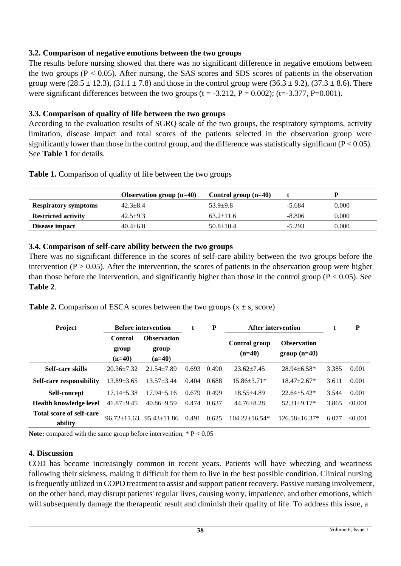## **3.2. Comparison of negative emotions between the two groups**

The results before nursing showed that there was no significant difference in negative emotions between the two groups  $(P < 0.05)$ . After nursing, the SAS scores and SDS scores of patients in the observation group were  $(28.5 \pm 12.3)$ ,  $(31.1 \pm 7.8)$  and those in the control group were  $(36.3 \pm 9.2)$ ,  $(37.3 \pm 8.6)$ . There were significant differences between the two groups ( $t = -3.212$ ,  $P = 0.002$ ); ( $t = -3.377$ ,  $P = 0.001$ ).

## **3.3. Comparison of quality of life between the two groups**

According to the evaluation results of SGRQ scale of the two groups, the respiratory symptoms, activity limitation, disease impact and total scores of the patients selected in the observation group were significantly lower than those in the control group, and the difference was statistically significant ( $P < 0.05$ ). See **Table 1** for details.

|  |  |  |  | Table 1. Comparison of quality of life between the two groups |
|--|--|--|--|---------------------------------------------------------------|
|--|--|--|--|---------------------------------------------------------------|

|                             | Observation group $(n=40)$ | Control group $(n=40)$ |          |       |
|-----------------------------|----------------------------|------------------------|----------|-------|
| <b>Respiratory symptoms</b> | $42.3 + 8.4$               | $53.9 + 9.8$           | -5.684   | 0.000 |
| <b>Restricted activity</b>  | $42.5+9.3$                 | $63.2 \pm 11.6$        | $-8.806$ | 0.000 |
| Disease impact              | $40.4 + 6.8$               | $50.8 \pm 10.4$        | $-5.293$ | 0.000 |

## **3.4. Comparison of self-care ability between the two groups**

There was no significant difference in the scores of self-care ability between the two groups before the intervention ( $P > 0.05$ ). After the intervention, the scores of patients in the observation group were higher than those before the intervention, and significantly higher than those in the control group ( $P < 0.05$ ). See **Table 2**.

**Table 2.** Comparison of ESCA scores between the two groups  $(x \pm s, \text{score})$ 

| Project                             | <b>Before intervention</b>   |                                         | t     | P     | After intervention        |                                     |       | P       |
|-------------------------------------|------------------------------|-----------------------------------------|-------|-------|---------------------------|-------------------------------------|-------|---------|
|                                     | Control<br>group<br>$(n=40)$ | <b>Observation</b><br>group<br>$(n=40)$ |       |       | Control group<br>$(n=40)$ | <b>Observation</b><br>$group(n=40)$ |       |         |
| Self-care skills                    | $20.36 \pm 7.32$             | $21.54 \pm 7.89$                        | 0.693 | 0.490 | $23.62 + 7.45$            | $28.94 + 6.58*$                     | 3.385 | 0.001   |
| <b>Self-care responsibility</b>     | $13.89 \pm 3.65$             | $13.57 + 3.44$                          | 0.404 | 0.688 | $15.86 \pm 3.71*$         | $18.47 \pm 2.67*$                   | 3.611 | 0.001   |
| Self-concept                        | $17.14 \pm 5.38$             | $17.94 + 5.16$                          | 0.679 | 0.499 | $18.55 + 4.89$            | $22.64 + 5.42*$                     | 3.544 | 0.001   |
| Health knowledge level              | $41.87+9.45$                 | $40.86 + 9.59$                          | 0.474 | 0.637 | $44.76 + 8.28$            | $52.31 + 9.17*$                     | 3.865 | < 0.001 |
| Total score of self-care<br>ability | $96.72 + 11.63$              | $95.43 \pm 11.86$                       | 0.491 | 0.625 | $104.22 + 16.54*$         | $126.58 + 16.37*$                   | 6.077 | <0.001  |

Note: compared with the same group before intervention,  $* P < 0.05$ 

#### **4. Discussion**

COD has become increasingly common in recent years. Patients will have wheezing and weariness following their sickness, making it difficult for them to live in the best possible condition. Clinical nursing is frequently utilized in COPD treatment to assist and support patient recovery. Passive nursing involvement, on the other hand, may disrupt patients' regular lives, causing worry, impatience, and other emotions, which will subsequently damage the therapeutic result and diminish their quality of life. To address this issue, a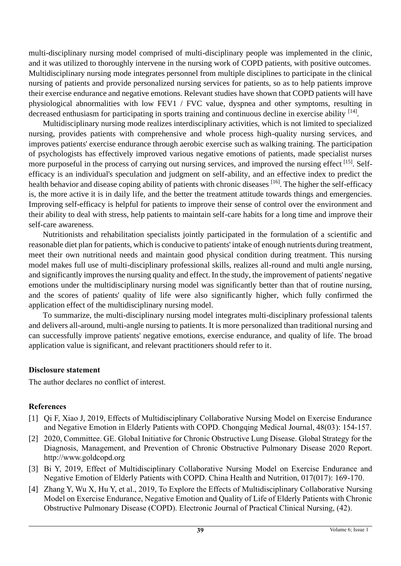multi-disciplinary nursing model comprised of multi-disciplinary people was implemented in the clinic, and it was utilized to thoroughly intervene in the nursing work of COPD patients, with positive outcomes. Multidisciplinary nursing mode integrates personnel from multiple disciplines to participate in the clinical nursing of patients and provide personalized nursing services for patients, so as to help patients improve their exercise endurance and negative emotions. Relevant studies have shown that COPD patients will have physiological abnormalities with low FEV1 / FVC value, dyspnea and other symptoms, resulting in decreased enthusiasm for participating in sports training and continuous decline in exercise ability [14].

Multidisciplinary nursing mode realizes interdisciplinary activities, which is not limited to specialized nursing, provides patients with comprehensive and whole process high-quality nursing services, and improves patients' exercise endurance through aerobic exercise such as walking training. The participation of psychologists has effectively improved various negative emotions of patients, made specialist nurses more purposeful in the process of carrying out nursing services, and improved the nursing effect [15]. Selfefficacy is an individual's speculation and judgment on self-ability, and an effective index to predict the health behavior and disease coping ability of patients with chronic diseases [16]. The higher the self-efficacy is, the more active it is in daily life, and the better the treatment attitude towards things and emergencies. Improving self-efficacy is helpful for patients to improve their sense of control over the environment and their ability to deal with stress, help patients to maintain self-care habits for a long time and improve their self-care awareness.

Nutritionists and rehabilitation specialists jointly participated in the formulation of a scientific and reasonable diet plan for patients, which is conducive to patients' intake of enough nutrients during treatment, meet their own nutritional needs and maintain good physical condition during treatment. This nursing model makes full use of multi-disciplinary professional skills, realizes all-round and multi angle nursing, and significantly improves the nursing quality and effect. In the study, the improvement of patients' negative emotions under the multidisciplinary nursing model was significantly better than that of routine nursing, and the scores of patients' quality of life were also significantly higher, which fully confirmed the application effect of the multidisciplinary nursing model.

To summarize, the multi-disciplinary nursing model integrates multi-disciplinary professional talents and delivers all-around, multi-angle nursing to patients. It is more personalized than traditional nursing and can successfully improve patients' negative emotions, exercise endurance, and quality of life. The broad application value is significant, and relevant practitioners should refer to it.

#### **Disclosure statement**

The author declares no conflict of interest.

#### **References**

- [1] Qi F, Xiao J, 2019, Effects of Multidisciplinary Collaborative Nursing Model on Exercise Endurance and Negative Emotion in Elderly Patients with COPD. Chongqing Medical Journal, 48(03): 154-157.
- [2] 2020, Committee. GE. Global Initiative for Chronic Obstructive Lung Disease. Global Strategy for the Diagnosis, Management, and Prevention of Chronic Obstructive Pulmonary Disease 2020 Report. http://www.goldcopd.org
- [3] Bi Y, 2019, Effect of Multidisciplinary Collaborative Nursing Model on Exercise Endurance and Negative Emotion of Elderly Patients with COPD. China Health and Nutrition, 017(017): 169-170.
- [4] Zhang Y, Wu X, Hu Y, et al., 2019, To Explore the Effects of Multidisciplinary Collaborative Nursing Model on Exercise Endurance, Negative Emotion and Quality of Life of Elderly Patients with Chronic Obstructive Pulmonary Disease (COPD). Electronic Journal of Practical Clinical Nursing, (42).